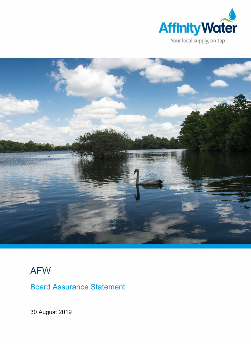



# AFW

Board Assurance Statement

30 August 2019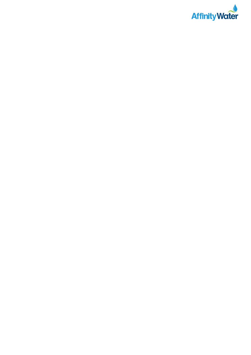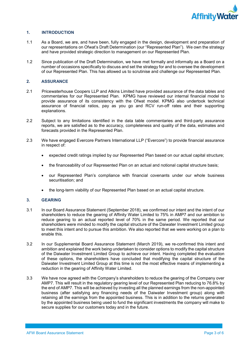

## 1. INTRODUCTION

- 1.1 As a Board, we are, and have been, fully engaged in the design, development and preparation of our representations on Ofwat's Draft Determination (our "Represented Plan"). We own the strategy and have provided strategic direction to management on our Represented Plan.
- 1.2 Since publication of the Draft Determination, we have met formally and informally as a Board on a number of occasions specifically to discuss and set the strategy for and to oversee the development of our Represented Plan. This has allowed us to scrutinise and challenge our Represented Plan.

### 2. ASSURANCE

- 2.1 Pricewaterhouse Coopers LLP and Atkins Limited have provided assurance of the data tables and commentaries for our Represented Plan. KPMG have reviewed our internal financial model to provide assurance of its consistency with the Ofwat model. KPMG also undertook technical assurance of financial ratios, pay as you go and RCV run-off rates and their supporting explanations.
- 2.2 Subject to any limitations identified in the data table commentaries and third-party assurance reports, we are satisfied as to the accuracy, completeness and quality of the data, estimates and forecasts provided in the Represented Plan.
- 2.3 We have engaged Evercore Partners International LLP ("Evercore") to provide financial assurance in respect of:
	- expected credit ratings implied by our Represented Plan based on our actual capital structure;
	- the financeability of our Represented Plan on an actual and notional capital structure basis;
	- our Represented Plan's compliance with financial covenants under our whole business securitisation; and
	- the long-term viability of our Represented Plan based on an actual capital structure.

#### 3. GEARING

- 3.1 In our Board Assurance Statement (September 2018), we confirmed our intent and the intent of our shareholders to reduce the gearing of Affinity Water Limited to 75% in AMP7 and our ambition to reduce gearing to an actual reported level of 70% in the same period. We reported that our shareholders were minded to modify the capital structure of the Daiwater Investment Limited group to meet this intent and to pursue this ambition. We also reported that we were working on a plan to enable this.
- 3.2 In our Supplemental Board Assurance Statement (March 2019), we re-confirmed this intent and ambition and explained the work being undertaken to consider options to modify the capital structure of the Daiwater Investment Limited Group to achieve our intent. Having completed the evaluation of these options, the shareholders have concluded that modifying the capital structure of the Daiwater Investment Limited Group at this time is not the most effective means of implementing a reduction in the gearing of Affinity Water Limited.
- 3.3 We have now agreed with the Company's shareholders to reduce the gearing of the Company over AMP7. This will result in the regulatory gearing level of our Represented Plan reducing to 76.8% by the end of AMP7. This will be achieved by investing all the planned earnings from the non-appointed business (after satisfying any financing needs of the Daiwater Investment group) along with retaining all the earnings from the appointed business. This is in addition to the returns generated by the appointed business being used to fund the significant investments the company will make to secure supplies for our customers today and in the future.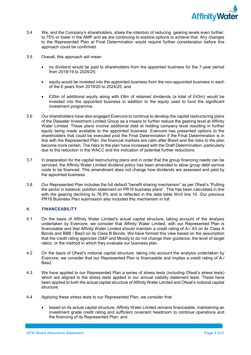

- 3.4 We, and the Company's shareholders, share the intention of reducing gearing levels even further, to 75% or lower in the AMP and we are continuing to explore options to achieve that. Any changes to the Represented Plan at Final Determination would require further consideration before this approach could be confirmed.
- 3.5 Overall, this approach will mean:
	- no dividend would be paid to shareholders from the appointed business for the 7-year period from 2018/19 to 2024/25;
	- equity would be invested into the appointed business from the non-appointed business in each of the 6 years from 2019/20 to 2024/25, and
	- £35m of additional equity along with £8m of retained dividends (a total of £43m) would be invested into the appointed business in addition to the equity used to fund the significant investment programme.
- 3.6 Our shareholders have also engaged Evercore to continue to develop the capital restructuring plans of the Daiwater Investment Limited Group as a means to further reduce the gearing level at Affinity Water Limited. These plans involve additional debt at holding company level resulting in further equity being made available to the appointed business. Evercore has presented options to the shareholders that could be executed post the Final Determination if the Final Determination is in line with the Represented Plan, the financial markets are calm after Brexit and the risks to the plan become more certain. The risks to the plan have increased with the Draft Determination, particularly due to the reduction in the WACC and the indication of potential further reductions.
- 3.7 In preparation for the capital restructuring plans and in order that the group financing needs can be serviced, the Affinity Water Limited dividend policy has been amended to allow group debt service costs to be financed. This amendment does not change how dividends are assessed and paid by the appointed business.
- 3.8 Our Represented Plan includes the full default "benefit sharing mechanism" as per Ofwat's "Putting the sector in balance; position statement on PR19 business plans". This has been calculated in line with the gearing declining to 76.8% and is reflected in the data table Wn3 line 10. Our previous PR19 Business Plan submission also included this mechanism in full.

## 4. FINANCEABILITY

- 4.1 On the basis of Affinity Water Limited's actual capital structure, taking account of the analysis undertaken by Evercore, we consider that Affinity Water Limited, with our Represented Plan is financeable and that Affinity Water Limited should maintain a credit rating of A-/ A3 on its Class A Bonds and BBB / Baa3 on its Class B Bonds. We have formed this view based on the assumption that the credit rating agencies (S&P and Moody's) do not change their guidance, the level of target ratios, or the method in which they evaluate our business plan.
- 4.2 On the basis of Ofwat's notional capital structure, taking into account the analysis undertaken by Evercore, we consider that our Represented Plan is financeable and implies a credit rating of A-/ Baa2.
- 4.3 We have applied to our Represented Plan a series of stress tests (including Ofwat's stress tests) which are aligned to the stress tests applied in our annual viability statement tests. These have been applied to both the actual capital structure of Affinity Water Limited and Ofwat's notional capital structure.
- 4.4 Applying these stress tests to our Represented Plan, we consider that:
	- based on its actual capital structure, Affinity Water Limited remains financeable, maintaining an investment grade credit rating and sufficient covenant headroom to continue operations and the financing of its Represented Plan; and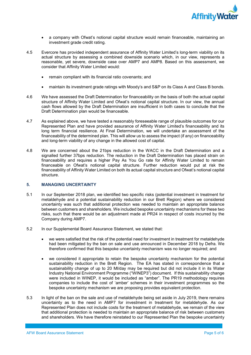

- a company with Ofwat's notional capital structure would remain financeable, maintaining an investment grade credit rating.
- 4.5 Evercore has provided independent assurance of Affinity Water Limited's long-term viability on its actual structure by assessing a combined downside scenario which, in our view, represents a reasonable, yet severe, downside case over AMP7 and AMP8. Based on this assessment, we consider that Affinity Water Limited would:
	- remain compliant with its financial ratio covenants; and
	- maintain its investment grade ratings with Moody's and S&P on its Class A and Class B bonds.
- 4.6 We have assessed the Draft Determination for financeability on the basis of both the actual capital structure of Affinity Water Limited and Ofwat's notional capital structure. In our view, the annual cash flows allowed by the Draft Determination are insufficient in both cases to conclude that the Draft Determination plan would be financeable.
- 4.7 As explained above, we have tested a reasonably foreseeable range of plausible outcomes for our Represented Plan and have provided assurance of Affinity Water Limited's financeability and its long term financial resilience. At Final Determination, we will undertake an assessment of the financeability of the determined plan. This will allow us to assess the impact (if any) on financeability and long-term viability of any change in the allowed cost of capital.
- 4.8 We are concerned about the 21bps reduction in the WACC in the Draft Determination and a signalled further 37bps reduction. The reduction in the Draft Determination has placed strain on financeability and requires a higher Pay As You Go rate for Affinity Water Limited to remain financeable on Ofwat's notional capital structure. Further reduction would put at risk the financeability of Affinity Water Limited on both its actual capital structure and Ofwat's notional capital structure.

#### 5. MANAGING UNCERTAINTY

- 5.1 In our September 2018 plan, we identified two specific risks (potential investment in treatment for metaldehyde and a potential sustainability reduction in our Brett Region) where we considered uncertainty was such that additional protection was needed to maintain an appropriate balance between customers and shareholders. We included bespoke uncertainty mechanisms for these two risks, such that there would be an adjustment made at PR24 in respect of costs incurred by the Company during AMP7.
- 5.2 In our Supplemental Board Assurance Statement, we stated that:
	- we were satisfied that the risk of the potential need for investment in treatment for metaldehyde had been mitigated by the ban on sale and use announced in December 2018 by Defra. We therefore confirmed that this bespoke uncertainty mechanism was no longer required; and
	- we considered it appropriate to retain the bespoke uncertainty mechanism for the potential sustainability reduction in the Brett Region. The EA has stated in correspondence that a sustainability change of up to 20 Ml/day may be required but did not include it in its Water Industry National Environment Programme ("WINEP3") document. If this sustainability change were included in WINEP, it would be included as "amber". The PR19 methodology requires companies to include the cost of 'amber' schemes in their investment programmes so the bespoke uncertainty mechanism we are proposing provides equivalent protection.
- 5.3 In light of the ban on the sale and use of metaldehyde being set aside in July 2019, there remains uncertainty as to the need in AMP7 for investment in treatment for metaldehyde. As our Represented Plan does not include costs for the treatment of metaldehyde, we remain of the view that additional protection is needed to maintain an appropriate balance of risk between customers and shareholders. We have therefore reinstated to our Represented Plan the bespoke uncertainty